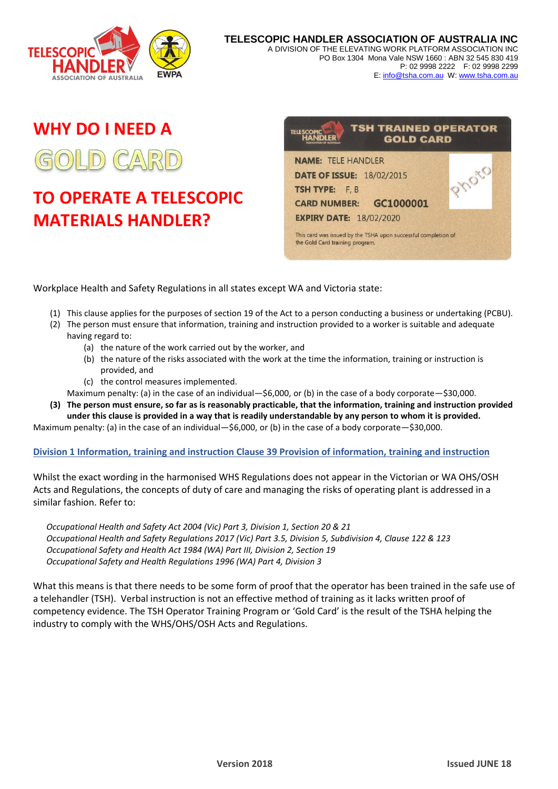

**TELESCOPIC HANDLER ASSOCIATION OF AUSTRALIA INC** A DIVISION OF THE ELEVATING WORK PLATFORM ASSOCIATION INC PO Box 1304 Mona Vale NSW 1660 : ABN 32 545 830 419 P: 02 9998 2222 F: 02 9998 2299 E[: info@tsha.com.au](mailto:info@tsha.com.au) W[: www.tsha.com.au](http://www.tsha.com.au/)

# **WHY DO I NEED A**

# **TO OPERATE A TELESCOPIC MATERIALS HANDLER?**



Workplace Health and Safety Regulations in all states except WA and Victoria state:

- (1) This clause applies for the purposes of section 19 of the Act to a person conducting a business or undertaking (PCBU).
- (2) The person must ensure that information, training and instruction provided to a worker is suitable and adequate having regard to:
	- (a) the nature of the work carried out by the worker, and
	- (b) the nature of the risks associated with the work at the time the information, training or instruction is provided, and
	- (c) the control measures implemented.
- Maximum penalty: (a) in the case of an individual—\$6,000, or (b) in the case of a body corporate—\$30,000.
- **(3) The person must ensure, so far as is reasonably practicable, that the information, training and instruction provided under this clause is provided in a way that is readily understandable by any person to whom it is provided.**

Maximum penalty: (a) in the case of an individual—\$6,000, or (b) in the case of a body corporate—\$30,000.

# **Division 1 Information, training and instruction Clause 39 Provision of information, training and instruction**

Whilst the exact wording in the harmonised WHS Regulations does not appear in the Victorian or WA OHS/OSH Acts and Regulations, the concepts of duty of care and managing the risks of operating plant is addressed in a similar fashion. Refer to:

*Occupational Health and Safety Act 2004 (Vic) Part 3, Division 1, Section 20 & 21 Occupational Health and Safety Regulations 2017 (Vic) Part 3.5, Division 5, Subdivision 4, Clause 122 & 123 Occupational Safety and Health Act 1984 (WA) Part III, Division 2, Section 19 Occupational Safety and Health Regulations 1996 (WA) Part 4, Division 3*

What this means is that there needs to be some form of proof that the operator has been trained in the safe use of a telehandler (TSH). Verbal instruction is not an effective method of training as it lacks written proof of competency evidence. The TSH Operator Training Program or 'Gold Card' is the result of the TSHA helping the industry to comply with the WHS/OHS/OSH Acts and Regulations.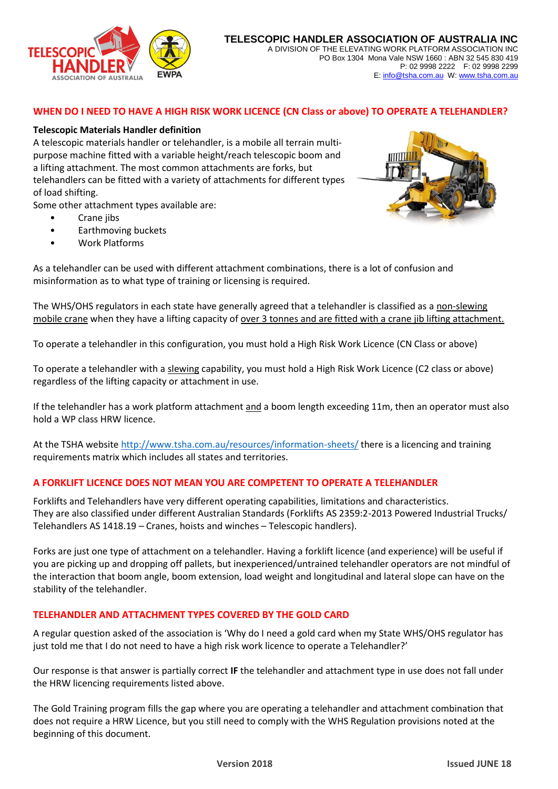

# **WHEN DO I NEED TO HAVE A HIGH RISK WORK LICENCE (CN Class or above) TO OPERATE A TELEHANDLER?**

### **Telescopic Materials Handler definition**

A telescopic materials handler or telehandler, is a mobile all terrain multipurpose machine fitted with a variable height/reach telescopic boom and a lifting attachment. The most common attachments are forks, but telehandlers can be fitted with a variety of attachments for different types of load shifting.

Some other attachment types available are:

- Crane jibs
- Earthmoving buckets
- Work Platforms



As a telehandler can be used with different attachment combinations, there is a lot of confusion and misinformation as to what type of training or licensing is required.

The WHS/OHS regulators in each state have generally agreed that a telehandler is classified as a non-slewing mobile crane when they have a lifting capacity of over 3 tonnes and are fitted with a crane jib lifting attachment.

To operate a telehandler in this configuration, you must hold a High Risk Work Licence (CN Class or above)

To operate a telehandler with a slewing capability, you must hold a High Risk Work Licence (C2 class or above) regardless of the lifting capacity or attachment in use.

If the telehandler has a work platform attachment and a boom length exceeding 11m, then an operator must also hold a WP class HRW licence.

At the TSHA website<http://www.tsha.com.au/resources/information-sheets/> there is a licencing and training requirements matrix which includes all states and territories.

#### **A FORKLIFT LICENCE DOES NOT MEAN YOU ARE COMPETENT TO OPERATE A TELEHANDLER**

Forklifts and Telehandlers have very different operating capabilities, limitations and characteristics. They are also classified under different Australian Standards (Forklifts AS 2359:2-2013 Powered Industrial Trucks/ Telehandlers AS 1418.19 – Cranes, hoists and winches – Telescopic handlers).

Forks are just one type of attachment on a telehandler. Having a forklift licence (and experience) will be useful if you are picking up and dropping off pallets, but inexperienced/untrained telehandler operators are not mindful of the interaction that boom angle, boom extension, load weight and longitudinal and lateral slope can have on the stability of the telehandler.

# **TELEHANDLER AND ATTACHMENT TYPES COVERED BY THE GOLD CARD**

A regular question asked of the association is 'Why do I need a gold card when my State WHS/OHS regulator has just told me that I do not need to have a high risk work licence to operate a Telehandler?'

Our response is that answer is partially correct **IF** the telehandler and attachment type in use does not fall under the HRW licencing requirements listed above.

The Gold Training program fills the gap where you are operating a telehandler and attachment combination that does not require a HRW Licence, but you still need to comply with the WHS Regulation provisions noted at the beginning of this document.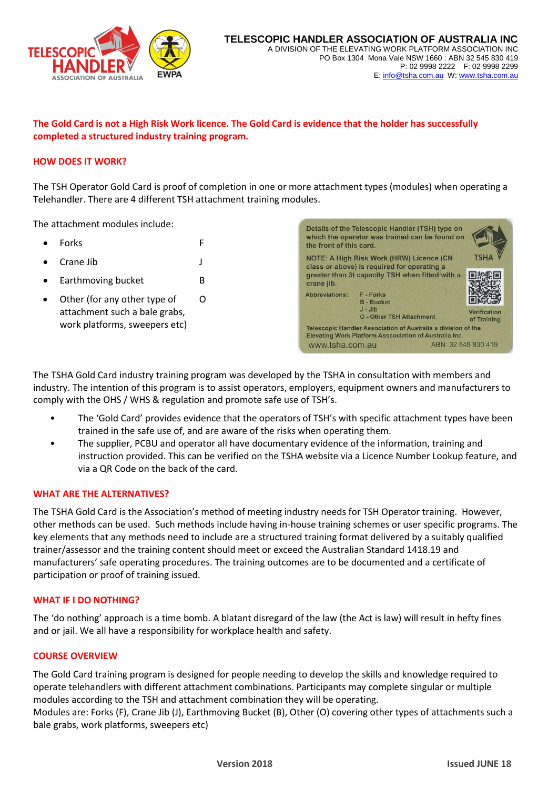

# **The Gold Card is not a High Risk Work licence. The Gold Card is evidence that the holder has successfully completed a structured industry training program.**

# **HOW DOES IT WORK?**

The TSH Operator Gold Card is proof of completion in one or more attachment types (modules) when operating a Telehandler. There are 4 different TSH attachment training modules.

The attachment modules include:

- Forks F
- Crane Jib J
- Earthmoving bucket B
- Other (for any other type of O attachment such a bale grabs, work platforms, sweepers etc)



The TSHA Gold Card industry training program was developed by the TSHA in consultation with members and industry. The intention of this program is to assist operators, employers, equipment owners and manufacturers to comply with the OHS / WHS & regulation and promote safe use of TSH's.

- The 'Gold Card' provides evidence that the operators of TSH's with specific attachment types have been trained in the safe use of, and are aware of the risks when operating them.
- The supplier, PCBU and operator all have documentary evidence of the information, training and instruction provided. This can be verified on the TSHA website via a Licence Number Lookup feature, and via a QR Code on the back of the card.

#### **WHAT ARE THE ALTERNATIVES?**

The TSHA Gold Card is the Association's method of meeting industry needs for TSH Operator training. However, other methods can be used. Such methods include having in-house training schemes or user specific programs. The key elements that any methods need to include are a structured training format delivered by a suitably qualified trainer/assessor and the training content should meet or exceed the Australian Standard 1418.19 and manufacturers' safe operating procedures. The training outcomes are to be documented and a certificate of participation or proof of training issued.

#### **WHAT IF I DO NOTHING?**

The 'do nothing' approach is a time bomb. A blatant disregard of the law (the Act is law) will result in hefty fines and or jail. We all have a responsibility for workplace health and safety.

#### **COURSE OVERVIEW**

The Gold Card training program is designed for people needing to develop the skills and knowledge required to operate telehandlers with different attachment combinations. Participants may complete singular or multiple modules according to the TSH and attachment combination they will be operating.

Modules are: Forks (F), Crane Jib (J), Earthmoving Bucket (B), Other (O) covering other types of attachments such a bale grabs, work platforms, sweepers etc)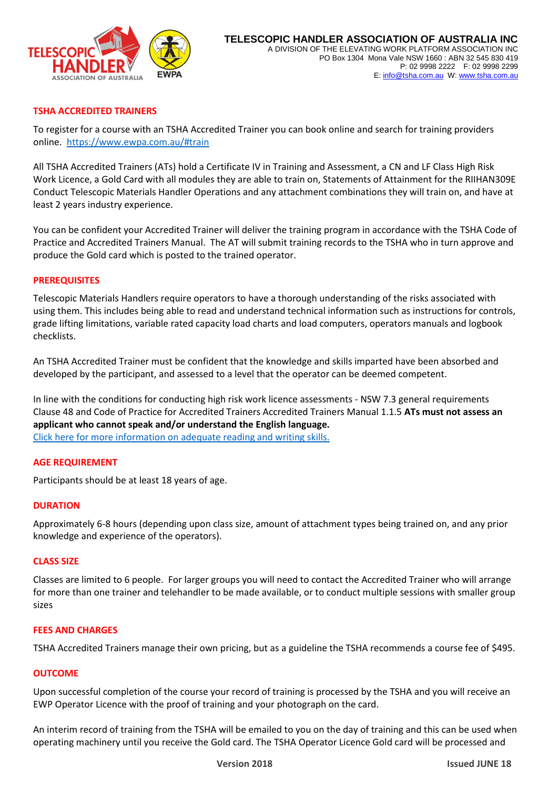

# **TSHA ACCREDITED TRAINERS**

To register for a course with an TSHA Accredited Trainer you can book online and search for training providers online. [https://www.ewpa.com.au/#train](https://www.ewpa.com.au/%23train)

All TSHA Accredited Trainers (ATs) hold a Certificate IV in Training and Assessment, a CN and LF Class High Risk Work Licence, a Gold Card with all modules they are able to train on, Statements of Attainment for the RIIHAN309E Conduct Telescopic Materials Handler Operations and any attachment combinations they will train on, and have at least 2 years industry experience.

You can be confident your Accredited Trainer will deliver the training program in accordance with the TSHA Code of Practice and Accredited Trainers Manual. The AT will submit training records to the TSHA who in turn approve and produce the Gold card which is posted to the trained operator.

#### **PREREQUISITES**

Telescopic Materials Handlers require operators to have a thorough understanding of the risks associated with using them. This includes being able to read and understand technical information such as instructions for controls, grade lifting limitations, variable rated capacity load charts and load computers, operators manuals and logbook checklists.

An TSHA Accredited Trainer must be confident that the knowledge and skills imparted have been absorbed and developed by the participant, and assessed to a level that the operator can be deemed competent.

In line with the conditions for conducting high risk work licence assessments - NSW 7.3 general requirements Clause 48 and Code of Practice for Accredited Trainers Accredited Trainers Manual 1.1.5 **ATs must not assess an applicant who cannot speak and/or understand the English language.** Click here for [more information on adequate reading and writing skills.](http://www.tsha.com.au/uploads/Resources/YC%20GC%20participant%20with%20inadequate%20reading%20and%20writing%20skills%20June%202018.pdf)

#### **AGE REQUIREMENT**

Participants should be at least 18 years of age.

#### **DURATION**

Approximately 6-8 hours (depending upon class size, amount of attachment types being trained on, and any prior knowledge and experience of the operators).

#### **CLASS SIZE**

Classes are limited to 6 people. For larger groups you will need to contact the Accredited Trainer who will arrange for more than one trainer and telehandler to be made available, or to conduct multiple sessions with smaller group sizes

#### **FEES AND CHARGES**

TSHA Accredited Trainers manage their own pricing, but as a guideline the TSHA recommends a course fee of \$495.

#### **OUTCOME**

Upon successful completion of the course your record of training is processed by the TSHA and you will receive an EWP Operator Licence with the proof of training and your photograph on the card.

An interim record of training from the TSHA will be emailed to you on the day of training and this can be used when operating machinery until you receive the Gold card. The TSHA Operator Licence Gold card will be processed and